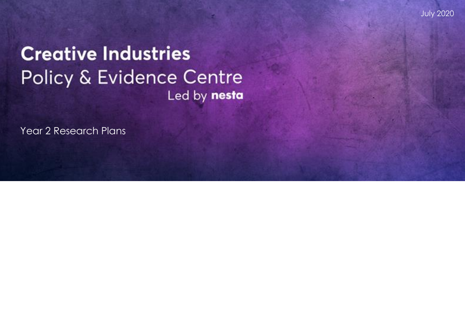July 2020

# **Creative Industries** Policy & Evidence Centre Led by nesta

Year 2 Research Plans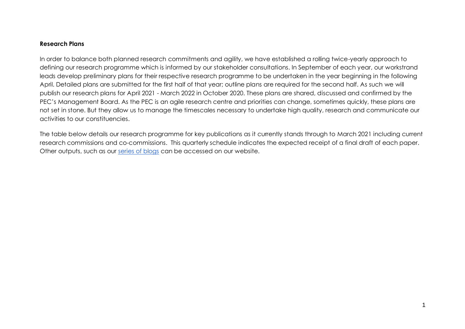#### **Research Plans**

In order to balance both planned research commitments and agility, we have established a rolling twice-yearly approach to defining our research programme which is informed by our stakeholder consultations. In September of each year, our workstrand leads develop preliminary plans for their respective research programme to be undertaken in the year beginning in the following April. Detailed plans are submitted for the first half of that year; outline plans are required for the second half. As such we will publish our research plans for April 2021 - March 2022 in October 2020. These plans are shared, discussed and confirmed by the PEC's Management Board. As the PEC is an agile research centre and priorities can change, sometimes quickly, these plans are not set in stone. But they allow us to manage the timescales necessary to undertake high quality, research and communicate our activities to our constituencies.

The table below details our research programme for key publications as it currently stands through to March 2021 including current research commissions and co-commissions. This quarterly schedule indicates the expected receipt of a final draft of each paper. Other outputs, such as our [series of blogs](https://pec.ac.uk/blog) can be accessed on our website.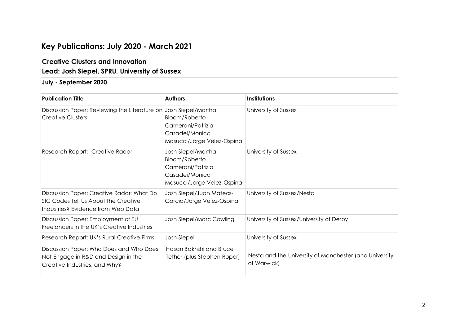| Key Publications: July 2020 - March 2021<br><b>Creative Clusters and Innovation</b><br>Lead: Josh Siepel, SPRU, University of Sussex |                                                                                                          |                                                                       |
|--------------------------------------------------------------------------------------------------------------------------------------|----------------------------------------------------------------------------------------------------------|-----------------------------------------------------------------------|
|                                                                                                                                      |                                                                                                          |                                                                       |
| <b>Publication Title</b>                                                                                                             | <b>Authors</b>                                                                                           | <b>Institutions</b>                                                   |
| Discussion Paper: Reviewing the Literature on Josh Siepel/Martha<br><b>Creative Clusters</b>                                         | Bloom/Roberto<br>Camerani/Patrizia<br>Casadei/Monica<br>Masucci/Jorge Velez-Ospina                       | University of Sussex                                                  |
| Research Report: Creative Radar                                                                                                      | Josh Siepel/Martha<br>Bloom/Roberto<br>Camerani/Patrizia<br>Casadei/Monica<br>Masucci/Jorge Velez-Ospina | University of Sussex                                                  |
| Discussion Paper: Creative Radar: What Do<br>SIC Codes Tell Us About The Creative<br>Industries? Evidence from Web Data              | Josh Siepel/Juan Mateos-<br>Garcia/Jorge Velez-Ospina                                                    | University of Sussex/Nesta                                            |
| Discussion Paper: Employment of EU<br>Freelancers in the UK's Creative Industries                                                    | <b>Josh Siepel/Marc Cowling</b>                                                                          | University of Sussex/University of Derby                              |
| Research Report: UK's Rural Creative Firms                                                                                           | <b>Josh Siepel</b>                                                                                       | University of Sussex                                                  |
| Discussion Paper: Who Does and Who Does<br>Not Engage in R&D and Design in the<br>Creative Industries, and Why?                      | Hasan Bakhshi and Bruce<br>Tether (plus Stephen Roper)                                                   | Nesta and the University of Manchester (and University<br>of Warwick) |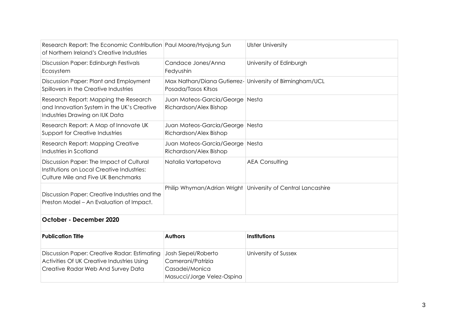| Research Report: The Economic Contribution Paul Moore/Hyojung Sun<br>of Northern Ireland's Creative Industries                   |                                                                                          | <b>Ulster University</b>                                     |
|----------------------------------------------------------------------------------------------------------------------------------|------------------------------------------------------------------------------------------|--------------------------------------------------------------|
| Discussion Paper: Edinburgh Festivals<br>Ecosystem                                                                               | Candace Jones/Anna<br>Fedyushin                                                          | University of Edinburgh                                      |
| Discussion Paper: Plant and Employment<br>Spillovers in the Creative Industries                                                  | Max Nathan/Diana Gutierrez- University of Birmingham/UCL<br>Posada/Tasos Kitsos          |                                                              |
| Research Report: Mapping the Research<br>and Innovation System in the UK's Creative<br>Industries Drawing on IUK Data            | Juan Mateos-Garcia/George Nesta<br>Richardson/Alex Bishop                                |                                                              |
| Research Report: A Map of Innovate UK<br>Support for Creative Industries                                                         | Juan Mateos-Garcia/George Nesta<br>Richardson/Alex Bishop                                |                                                              |
| Research Report: Mapping Creative<br>Industries in Scotland                                                                      | Juan Mateos-Garcia/George Nesta<br>Richardson/Alex Bishop                                |                                                              |
| Discussion Paper: The Impact of Cultural<br>Institutions on Local Creative Industries:<br>Culture Mile and Five UK Benchmarks    | Natalia Vartapetova                                                                      | <b>AEA Consulting</b>                                        |
| Discussion Paper: Creative Industries and the<br>Preston Model - An Evaluation of Impact.                                        |                                                                                          | Philip Whyman/Adrian Wright University of Central Lancashire |
| October - December 2020                                                                                                          |                                                                                          |                                                              |
| <b>Publication Title</b>                                                                                                         | <b>Authors</b>                                                                           | <b>Institutions</b>                                          |
| Discussion Paper: Creative Radar: Estimating<br>Activities Of UK Creative Industries Using<br>Creative Radar Web And Survey Data | Josh Siepel/Roberto<br>Camerani/Patrizia<br>Casadei/Monica<br>Masucci/Jorge Velez-Ospina | University of Sussex                                         |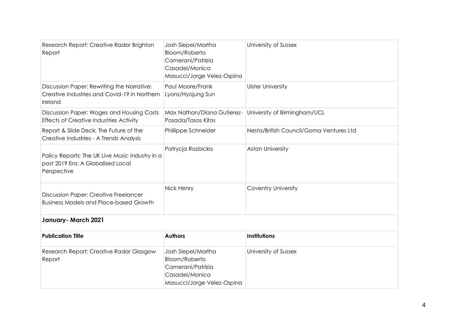| Research Report: Creative Radar Brighton<br>Report                                                    | Josh Siepel/Martha<br><b>Bloom/Roberto</b><br>Camerani/Patrizia<br>Casadei/Monica<br>Masucci/Jorge Velez-Ospina | University of Sussex                    |
|-------------------------------------------------------------------------------------------------------|-----------------------------------------------------------------------------------------------------------------|-----------------------------------------|
| Discussion Paper: Rewriting the Narrative:<br>Creative Industries and Covid-19 in Northern<br>Ireland | Paul Moore/Frank<br>Lyons/Hyojung Sun                                                                           | <b>Ulster University</b>                |
| Discussion Paper: Wages and Housing Costs<br><b>Effects of Creative Industries Activity</b>           | Max Nathan/Diana Gutierez-<br>Posada/Tasos Kitos                                                                | University of Birmingham/UCL            |
| Report & Slide Deck: The Future of the<br>Creative Industries - A Trends Analysis                     | Phillippe Schneider                                                                                             | Nesta/British Council/Goma Ventures Ltd |
| Policy Reports: The UK Live Music Industry in a<br>post 2019 Era: A Globalised Local<br>Perspective   | Patrycja Rozbicka                                                                                               | <b>Aston University</b>                 |
| <b>Discussion Paper: Creative Freelancer</b><br><b>Business Models and Place-based Growth</b>         | Nick Henry                                                                                                      | <b>Coventry University</b>              |
| January-March 2021                                                                                    |                                                                                                                 |                                         |
| <b>Publication Title</b>                                                                              | <b>Authors</b>                                                                                                  | <b>Institutions</b>                     |
| Research Report: Creative Radar Glasgow<br>Report                                                     | Josh Siepel/Martha<br><b>Bloom/Roberto</b><br>Camerani/Patrizia<br>Casadei/Monica<br>Masucci/Jorge Velez-Ospina | University of Sussex                    |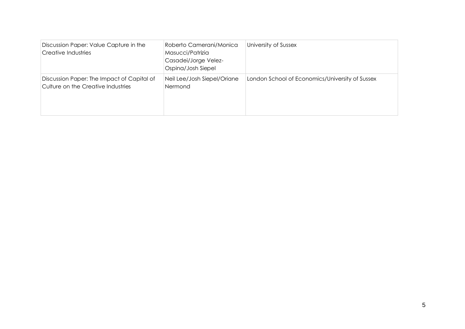| Discussion Paper: Value Capture in the<br>Creative Industries                    | Roberto Camerani/Monica<br>Masucci/Patrizia<br>Casadei/Jorge Velez-<br>Ospina/Josh Siepel | University of Sussex                            |
|----------------------------------------------------------------------------------|-------------------------------------------------------------------------------------------|-------------------------------------------------|
| Discussion Paper: The Impact of Capital of<br>Culture on the Creative Industries | Neil Lee/Josh Siepel/Oriane<br>Nermond                                                    | London School of Economics/University of Sussex |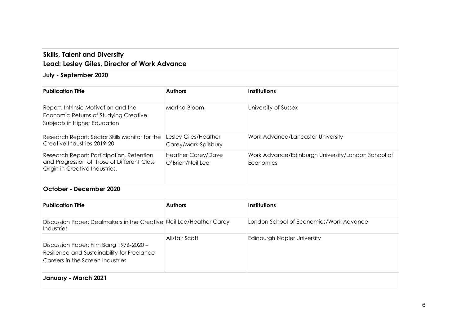# **Skills, Talent and Diversity Lead: Lesley Giles, Director of Work Advance**

## **July - September 2020**

| <b>Publication Title</b>                                                                                                   | <b>Authors</b>                               | <b>Institutions</b>                                             |
|----------------------------------------------------------------------------------------------------------------------------|----------------------------------------------|-----------------------------------------------------------------|
| Report: Intrinsic Motivation and the<br>Economic Returns of Studying Creative<br>Subjects in Higher Education              | Martha Bloom                                 | University of Sussex                                            |
| Research Report: Sector Skills Monitor for the<br>Creative Industries 2019-20                                              | Lesley Giles/Heather<br>Carey/Mark Spilsbury | Work Advance/Lancaster University                               |
| Research Report: Participation, Retention<br>and Progression of those of Different Class<br>Origin in Creative Industries. | Heather Carey/Dave<br>O'Brien/Neil Lee       | Work Advance/Edinburgh University/London School of<br>Economics |

#### **October - December 2020**

| <b>Publication Title</b>                                                                                                   | <b>Authors</b> | Institutions                            |
|----------------------------------------------------------------------------------------------------------------------------|----------------|-----------------------------------------|
| Discussion Paper: Dealmakers in the Creative Neil Lee/Heather Carey<br>Industries                                          |                | London School of Economics/Work Advance |
| Discussion Paper: Film Bang 1976-2020 -<br>Resilience and Sustainability for Freelance<br>Careers in the Screen Industries | Alistair Scott | Edinburgh Napier University             |
| January - March 2021                                                                                                       |                |                                         |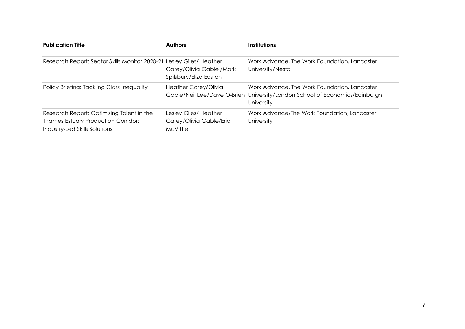| <b>Publication Title</b>                                                                                                 | <b>Authors</b>                                                              | <b>Institutions</b>                                                                                           |
|--------------------------------------------------------------------------------------------------------------------------|-----------------------------------------------------------------------------|---------------------------------------------------------------------------------------------------------------|
| Research Report: Sector Skills Monitor 2020-21                                                                           | Lesley Giles/Heather<br>Carey/Olivia Gable / Mark<br>Spilsbury/Eliza Easton | Work Advance, The Work Foundation, Lancaster<br>University/Nesta                                              |
| Policy Briefing: Tackling Class Inequality                                                                               | Heather Carey/Olivia<br>Gable/Neil Lee/Dave O-Brien                         | Work Advance, The Work Foundation, Lancaster<br>University/London School of Economics/Edinburgh<br>University |
| Research Report: Optimising Talent in the<br><b>Thames Estuary Production Corridor:</b><br>Industry-Led Skills Solutions | Lesley Giles/Heather<br>Carey/Olivia Gable/Eric<br>McVittie                 | Work Advance/The Work Foundation, Lancaster<br>University                                                     |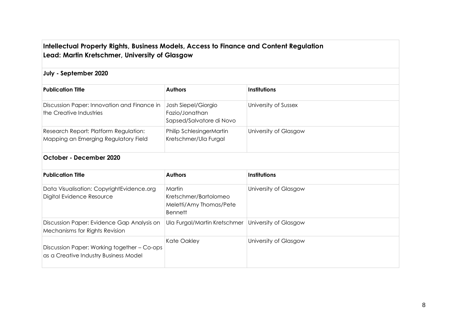# **Intellectual Property Rights, Business Models, Access to Finance and Content Regulation Lead: Martin Kretschmer, University of Glasgow**

#### **July - September 2020**

| <b>Publication Title</b>                                                      | <b>Authors</b>                                                    | <b>Institutions</b>   |
|-------------------------------------------------------------------------------|-------------------------------------------------------------------|-----------------------|
| Discussion Paper: Innovation and Finance in<br>the Creative Industries        | Josh Siepel/Giorgio<br>Fazio/Jonathan<br>Sapsed/Salvatore di Novo | University of Sussex  |
| Research Report: Platform Regulation:<br>Mapping an Emerging Regulatory Field | Philip SchlesingerMartin<br>Kretschmer/Ula Furgal                 | University of Glasgow |

## **October - December 2020**

| <b>Publication Title</b>                                                             | <b>Authors</b>                                                               | <b>Institutions</b>   |
|--------------------------------------------------------------------------------------|------------------------------------------------------------------------------|-----------------------|
| Data Visualisation: CopyrightEvidence.org<br>Digital Evidence Resource               | Martin<br>Kretschmer/Bartolomeo<br>Meletti/Amy Thomas/Pete<br><b>Bennett</b> | University of Glasgow |
| Discussion Paper: Evidence Gap Analysis on<br>Mechanisms for Rights Revision         | Ula Furgal/Martin Kretschmer                                                 | University of Glasgow |
| Discussion Paper: Working together - Co-ops<br>as a Creative Industry Business Model | Kate Oakley                                                                  | University of Glasgow |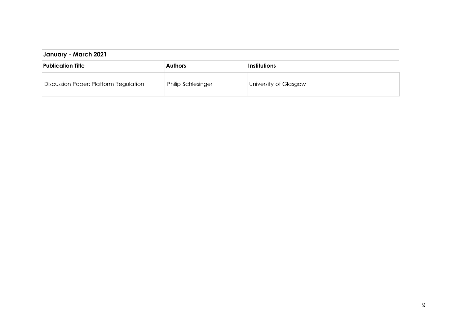| January - March 2021                  |                           |                       |
|---------------------------------------|---------------------------|-----------------------|
| Publication Title                     | <b>Authors</b>            | <b>Institutions</b>   |
| Discussion Paper: Platform Regulation | <b>Philip Schlesinger</b> | University of Glasgow |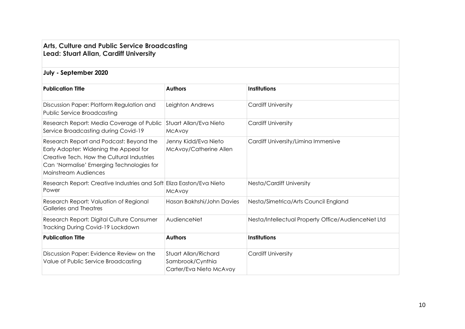## **Arts, Culture and Public Service Broadcasting Lead: Stuart Allan, Cardiff University**

#### **July - September 2020**

| <b>Publication Title</b>                                                                                                                                                                             | <b>Authors</b>                                                      | Institutions                                       |
|------------------------------------------------------------------------------------------------------------------------------------------------------------------------------------------------------|---------------------------------------------------------------------|----------------------------------------------------|
| Discussion Paper: Platform Regulation and<br><b>Public Service Broadcasting</b>                                                                                                                      | Leighton Andrews                                                    | <b>Cardiff University</b>                          |
| Research Report: Media Coverage of Public<br>Service Broadcasting during Covid-19                                                                                                                    | Stuart Allan/Eva Nieto<br>McAvoy                                    | <b>Cardiff University</b>                          |
| Research Report and Podcast: Beyond the<br>Early Adopter: Widening the Appeal for<br>Creative Tech. How the Cultural Industries<br>Can 'Normalise' Emerging Technologies for<br>Mainstream Audiences | Jenny Kidd/Eva Nieto<br>McAvoy/Catherine Allen                      | Cardiff University/Limina Immersive                |
| Research Report: Creative Industries and Soft Eliza Easton/Eva Nieto<br>Power                                                                                                                        | <b>McAvoy</b>                                                       | Nesta/Cardiff University                           |
| Research Report: Valuation of Regional<br>Galleries and Theatres                                                                                                                                     | Hasan Bakhshi/John Davies                                           | Nesta/Simetrica/Arts Council England               |
| Research Report: Digital Culture Consumer<br>Tracking During Covid-19 Lockdown                                                                                                                       | AudienceNet                                                         | Nesta/Intellectual Property Office/AudienceNet Ltd |
| <b>Publication Title</b>                                                                                                                                                                             | <b>Authors</b>                                                      | Institutions                                       |
| Discussion Paper: Evidence Review on the<br>Value of Public Service Broadcasting                                                                                                                     | Stuart Allan/Richard<br>Sambrook/Cynthia<br>Carter/Eva Nieto McAvoy | <b>Cardiff University</b>                          |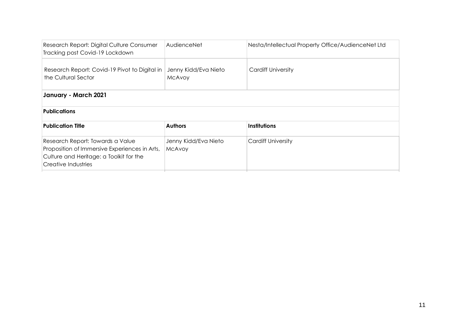| Research Report: Digital Culture Consumer<br>Tracking post Covid-19 Lockdown                                                                        | AudienceNet                           | Nesta/Intellectual Property Office/AudienceNet Ltd |
|-----------------------------------------------------------------------------------------------------------------------------------------------------|---------------------------------------|----------------------------------------------------|
| Research Report: Covid-19 Pivot to Digital in<br>the Cultural Sector                                                                                | Jenny Kidd/Eva Nieto<br>McAvoy        | <b>Cardiff University</b>                          |
| January - March 2021                                                                                                                                |                                       |                                                    |
| <b>Publications</b>                                                                                                                                 |                                       |                                                    |
| <b>Publication Title</b>                                                                                                                            | <b>Authors</b>                        | Institutions                                       |
| Research Report: Towards a Value<br>Proposition of Immersive Experiences in Arts,<br>Culture and Heritage: a Toolkit for the<br>Creative Industries | Jenny Kidd/Eva Nieto<br><b>MCAVOY</b> | <b>Cardiff University</b>                          |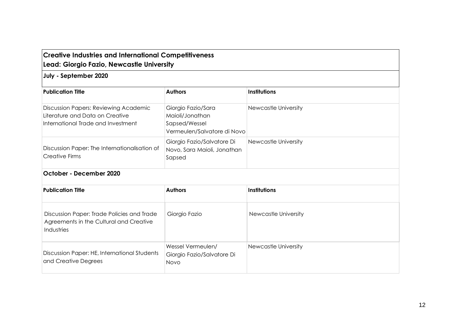# **Creative Industries and International Competitiveness Lead: Giorgio Fazio, Newcastle University**

#### **July - September 2020**

Industries

and Creative Degrees

Discussion Paper: HE, International Students

| <b>Publication Title</b>                                                                                       | <b>Authors</b>                                                                        | <b>Institutions</b>  |
|----------------------------------------------------------------------------------------------------------------|---------------------------------------------------------------------------------------|----------------------|
| Discussion Papers: Reviewing Academic<br>Literature and Data on Creative<br>International Trade and Investment | Giorgio Fazio/Sara<br>Maioli/Jonathan<br>Sapsed/Wessel<br>Vermeulen/Salvatore di Novo | Newcastle University |
| Discussion Paper: The Internationalisation of<br>Creative Firms                                                | Giorgio Fazio/Salvatore Di<br>Novo, Sara Maioli, Jonathan<br>Sapsed                   | Newcastle University |
| October - December 2020                                                                                        |                                                                                       |                      |
| <b>Publication Title</b>                                                                                       | <b>Authors</b>                                                                        | Institutions         |
| Discussion Paper: Trade Policies and Trade<br>Agreements in the Cultural and Creative                          | Giorgio Fazio                                                                         | Newcastle University |

Newcastle University

Wessel Vermeulen/

Novo

Giorgio Fazio/Salvatore Di